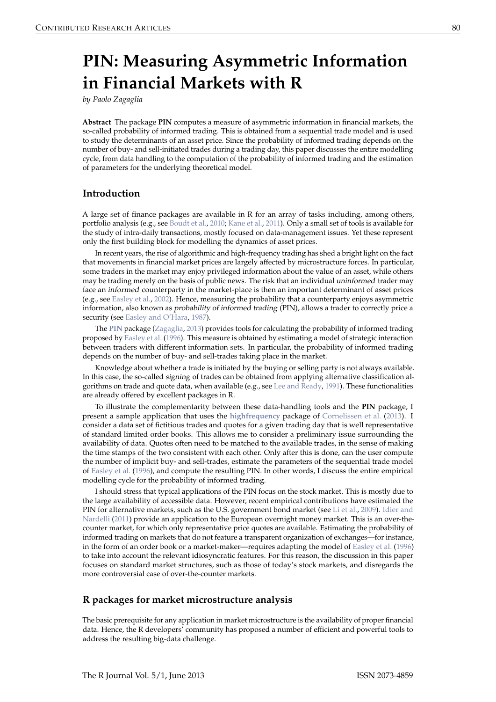# <span id="page-0-0"></span>**PIN: Measuring Asymmetric Information in Financial Markets with R**

*by Paolo Zagaglia*

**Abstract** The package **PIN** computes a measure of asymmetric information in financial markets, the so-called probability of informed trading. This is obtained from a sequential trade model and is used to study the determinants of an asset price. Since the probability of informed trading depends on the number of buy- and sell-initiated trades during a trading day, this paper discusses the entire modelling cycle, from data handling to the computation of the probability of informed trading and the estimation of parameters for the underlying theoretical model.

### **Introduction**

A large set of finance packages are available in R for an array of tasks including, among others, portfolio analysis (e.g., see [Boudt et al.,](#page-5-0) [2010;](#page-5-0) [Kane et al.,](#page-5-1) [2011\)](#page-5-1). Only a small set of tools is available for the study of intra-daily transactions, mostly focused on data-management issues. Yet these represent only the first building block for modelling the dynamics of asset prices.

In recent years, the rise of algorithmic and high-frequency trading has shed a bright light on the fact that movements in financial market prices are largely affected by microstructure forces. In particular, some traders in the market may enjoy privileged information about the value of an asset, while others may be trading merely on the basis of public news. The risk that an individual uninformed trader may face an informed counterparty in the market-place is then an important determinant of asset prices (e.g., see [Easley et al.,](#page-5-2) [2002\)](#page-5-2). Hence, measuring the probability that a counterparty enjoys asymmetric information, also known as probability of informed trading (PIN), allows a trader to correctly price a security (see [Easley and O'Hara,](#page-5-3) [1987\)](#page-5-3).

The **[PIN](http://CRAN.R-project.org/package=PIN)** package [\(Zagaglia,](#page-6-0) [2013\)](#page-6-0) provides tools for calculating the probability of informed trading proposed by [Easley et al.](#page-5-4) [\(1996\)](#page-5-4). This measure is obtained by estimating a model of strategic interaction between traders with different information sets. In particular, the probability of informed trading depends on the number of buy- and sell-trades taking place in the market.

Knowledge about whether a trade is initiated by the buying or selling party is not always available. In this case, the so-called signing of trades can be obtained from applying alternative classification algorithms on trade and quote data, when available (e.g., see [Lee and Ready,](#page-5-5) [1991\)](#page-5-5). These functionalities are already offered by excellent packages in R.

To illustrate the complementarity between these data-handling tools and the **PIN** package, I present a sample application that uses the **[highfrequency](http://CRAN.R-project.org/package=highfrequency)** package of [Cornelissen et al.](#page-5-6) [\(2013\)](#page-5-6). I consider a data set of fictitious trades and quotes for a given trading day that is well representative of standard limited order books. This allows me to consider a preliminary issue surrounding the availability of data. Quotes often need to be matched to the available trades, in the sense of making the time stamps of the two consistent with each other. Only after this is done, can the user compute the number of implicit buy- and sell-trades, estimate the parameters of the sequential trade model of [Easley et al.](#page-5-4) [\(1996\)](#page-5-4), and compute the resulting PIN. In other words, I discuss the entire empirical modelling cycle for the probability of informed trading.

I should stress that typical applications of the PIN focus on the stock market. This is mostly due to the large availability of accessible data. However, recent empirical contributions have estimated the PIN for alternative markets, such as the U.S. government bond market (see [Li et al.,](#page-5-7) [2009\)](#page-5-7). [Idier and](#page-5-8) [Nardelli](#page-5-8) [\(2011\)](#page-5-8) provide an application to the European overnight money market. This is an over-thecounter market, for which only representative price quotes are available. Estimating the probability of informed trading on markets that do not feature a transparent organization of exchanges—for instance, in the form of an order book or a market-maker—requires adapting the model of [Easley et al.](#page-5-4) [\(1996\)](#page-5-4) to take into account the relevant idiosyncratic features. For this reason, the discussion in this paper focuses on standard market structures, such as those of today's stock markets, and disregards the more controversial case of over-the-counter markets.

## **R packages for market microstructure analysis**

The basic prerequisite for any application in market microstructure is the availability of proper financial data. Hence, the R developers' community has proposed a number of efficient and powerful tools to address the resulting big-data challenge.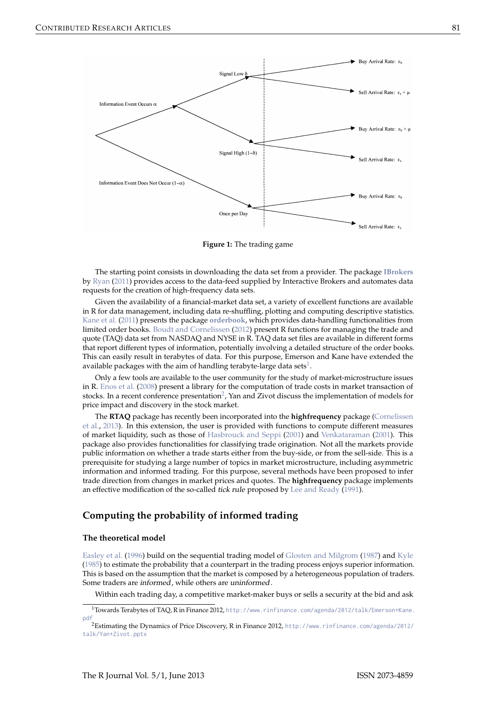<span id="page-1-1"></span><span id="page-1-0"></span>

**Figure 1:** The trading game

The starting point consists in downloading the data set from a provider. The package **[IBrokers](http://CRAN.R-project.org/package=IBrokers)** by [Ryan](#page-5-9) [\(2011\)](#page-5-9) provides access to the data-feed supplied by Interactive Brokers and automates data requests for the creation of high-frequency data sets.

Given the availability of a financial-market data set, a variety of excellent functions are available in R for data management, including data re-shuffling, plotting and computing descriptive statistics. [Kane et al.](#page-5-1) [\(2011\)](#page-5-1) presents the package **[orderbook](http://CRAN.R-project.org/package=orderbook)**, which provides data-handling functionalities from limited order books. [Boudt and Cornelissen](#page-5-10) [\(2012\)](#page-5-10) present R functions for managing the trade and quote (TAQ) data set from NASDAQ and NYSE in R. TAQ data set files are available in different forms that report different types of information, potentially involving a detailed structure of the order books. This can easily result in terabytes of data. For this purpose, Emerson and Kane have extended the available packages with the aim of handling terabyte-large data sets $^1$  $^1$ .

Only a few tools are available to the user community for the study of market-microstructure issues in R. [Enos et al.](#page-5-11) [\(2008\)](#page-5-11) present a library for the computation of trade costs in market transaction of stocks. In a recent conference presentation<sup>[2](#page--1-0)</sup>, Yan and Zivot discuss the implementation of models for price impact and discovery in the stock market.

The **RTAQ** package has recently been incorporated into the **highfrequency** package [\(Cornelissen](#page-5-6) [et al.,](#page-5-6) [2013\)](#page-5-6). In this extension, the user is provided with functions to compute different measures of market liquidity, such as those of [Hasbrouck and Seppi](#page-5-12) [\(2001\)](#page-5-12) and [Venkataraman](#page-5-13) [\(2001\)](#page-5-13). This package also provides functionalities for classifying trade origination. Not all the markets provide public information on whether a trade starts either from the buy-side, or from the sell-side. This is a prerequisite for studying a large number of topics in market microstructure, including asymmetric information and informed trading. For this purpose, several methods have been proposed to infer trade direction from changes in market prices and quotes. The **highfrequency** package implements an effective modification of the so-called tick rule proposed by [Lee and Ready](#page-5-5) [\(1991\)](#page-5-5).

# **Computing the probability of informed trading**

#### **The theoretical model**

[Easley et al.](#page-5-4) [\(1996\)](#page-5-4) build on the sequential trading model of [Glosten and Milgrom](#page-5-14) [\(1987\)](#page-5-14) and [Kyle](#page-5-15) [\(1985\)](#page-5-15) to estimate the probability that a counterpart in the trading process enjoys superior information. This is based on the assumption that the market is composed by a heterogeneous population of traders. Some traders are informed, while others are uninformed.

Within each trading day, a competitive market-maker buys or sells a security at the bid and ask

<sup>1</sup>Towards Terabytes of TAQ, R in Finance 2012, [http://www.rinfinance.com/agenda/2012/talk/Emerson+Kane.](http://www.rinfinance.com/agenda/2012/talk/Emerson+Kane.pdf) [pdf](http://www.rinfinance.com/agenda/2012/talk/Emerson+Kane.pdf)

<sup>2</sup>Estimating the Dynamics of Price Discovery, R in Finance 2012, [http://www.rinfinance.com/agenda/2012/](http://www.rinfinance.com/agenda/2012/talk/Yan+Zivot.pptx) [talk/Yan+Zivot.pptx](http://www.rinfinance.com/agenda/2012/talk/Yan+Zivot.pptx)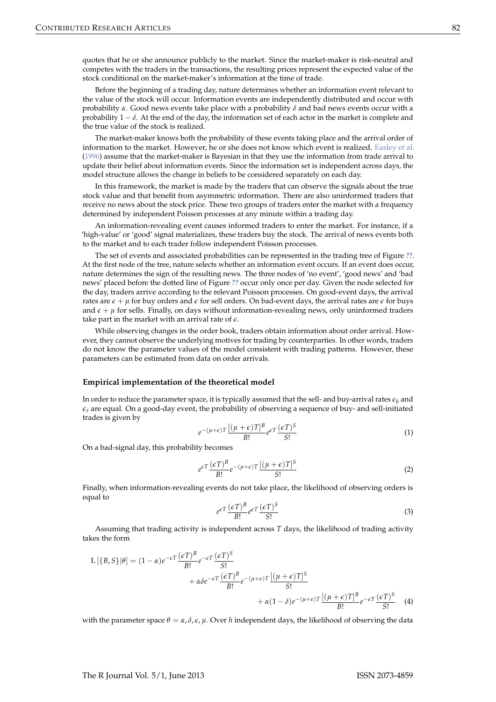<span id="page-2-0"></span>quotes that he or she announce publicly to the market. Since the market-maker is risk-neutral and competes with the traders in the transactions, the resulting prices represent the expected value of the stock conditional on the market-maker's information at the time of trade.

Before the beginning of a trading day, nature determines whether an information event relevant to the value of the stock will occur. Information events are independently distributed and occur with probability  $\alpha$ . Good news events take place with a probability  $\delta$  and bad news events occur with a probability  $1 - \delta$ . At the end of the day, the information set of each actor in the market is complete and the true value of the stock is realized.

The market-maker knows both the probability of these events taking place and the arrival order of information to the market. However, he or she does not know which event is realized. [Easley et al.](#page-5-4) [\(1996\)](#page-5-4) assume that the market-maker is Bayesian in that they use the information from trade arrival to update their belief about information events. Since the information set is independent across days, the model structure allows the change in beliefs to be considered separately on each day.

In this framework, the market is made by the traders that can observe the signals about the true stock value and that benefit from asymmetric information. There are also uninformed traders that receive no news about the stock price. These two groups of traders enter the market with a frequency determined by independent Poisson processes at any minute within a trading day.

An information-revealing event causes informed traders to enter the market. For instance, if a 'high-value' or 'good' signal materializes, these traders buy the stock. The arrival of news events both to the market and to each trader follow independent Poisson processes.

The set of events and associated probabilities can be represented in the trading tree of Figure **[??](#page-1-0)**. At the first node of the tree, nature selects whether an information event occurs. If an event does occur, nature determines the sign of the resulting news. The three nodes of 'no event', 'good news' and 'bad news' placed before the dotted line of Figure **[??](#page-1-0)** occur only once per day. Given the node selected for the day, traders arrive according to the relevant Poisson processes. On good-event days, the arrival rates are  $\epsilon + \mu$  for buy orders and  $\epsilon$  for sell orders. On bad-event days, the arrival rates are  $\epsilon$  for buys and  $\epsilon + \mu$  for sells. Finally, on days without information-revealing news, only uninformed traders take part in the market with an arrival rate of *e*.

While observing changes in the order book, traders obtain information about order arrival. However, they cannot observe the underlying motives for trading by counterparties. In other words, traders do not know the parameter values of the model consistent with trading patterns. However, these parameters can be estimated from data on order arrivals.

#### **Empirical implementation of the theoretical model**

In order to reduce the parameter space, it is typically assumed that the sell- and buy-arrival rates  $\epsilon_b$  and  $\epsilon_s$  are equal. On a good-day event, the probability of observing a sequence of buy- and sell-initiated trades is given by

$$
e^{-(\mu+\epsilon)T} \frac{\left[ (\mu+\epsilon)T \right]^B}{B!} e^{\epsilon T} \frac{(\epsilon T)^S}{S!}
$$
 (1)

On a bad-signal day, this probability becomes

$$
e^{\epsilon T} \frac{(\epsilon T)^B}{B!} e^{-(\mu+\epsilon)T} \frac{[(\mu+\epsilon)T]^S}{S!}
$$
 (2)

Finally, when information-revealing events do not take place, the likelihood of observing orders is equal to

$$
e^{\epsilon T} \frac{(\epsilon T)^B}{B!} e^{\epsilon T} \frac{(\epsilon T)^S}{S!}
$$
 (3)

Assuming that trading activity is independent across *T* days, the likelihood of trading activity takes the form

$$
L[{B, S}]|\theta] = (1 - \alpha)e^{-\epsilon T} \frac{(\epsilon T)^{B}}{B!}e^{-\epsilon T} \frac{(\epsilon T)^{S}}{S!} + \alpha \delta e^{-\epsilon T} \frac{(\epsilon T)^{B}}{B!}e^{-(\mu + \epsilon)T} \frac{[(\mu + \epsilon)T]^{S}}{S!} + \alpha (1 - \delta)e^{-(\mu + \epsilon)T} \frac{[(\mu + \epsilon)T]^{B}}{B!}e^{-\epsilon T} \frac{(\epsilon T)^{S}}{S!}
$$
(4)

with the parameter space  $\theta = \alpha$ ,  $\delta$ ,  $\epsilon$ ,  $\mu$ . Over *h* independent days, the likelihood of observing the data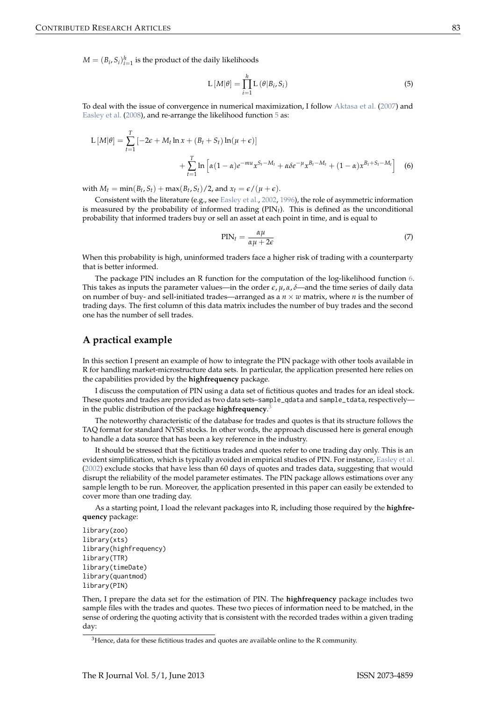<span id="page-3-2"></span> $M = (B_i, S_i)_{i=1}^h$  is the product of the daily likelihoods

<span id="page-3-0"></span>
$$
L\left[M|\theta\right] = \prod_{i=1}^{h} L\left(\theta|B_i, S_i\right) \tag{5}
$$

To deal with the issue of convergence in numerical maximization, I follow [Aktasa et al.](#page-5-16) [\(2007\)](#page-5-16) and [Easley et al.](#page-5-17) [\(2008\)](#page-5-17), and re-arrange the likelihood function [5](#page-3-0) as:

$$
L\left[M|\theta\right] = \sum_{t=1}^{T} \left[ -2\epsilon + M_t \ln x + (B_t + S_t) \ln(\mu + \epsilon) \right]
$$

$$
+ \sum_{t=1}^{T} \ln \left[ \alpha (1 - \alpha) e^{-\mu x} x^{S_t - M_t} + \alpha \delta e^{-\mu} x^{B_t - M_t} + (1 - \alpha) x^{B_t + S_t - M_t} \right] \tag{6}
$$

with  $M_t = \min(B_t, S_t) + \max(B_t, S_t)/2$ , and  $x_t = \epsilon/(\mu + \epsilon)$ .

Consistent with the literature (e.g., see [Easley et al.,](#page-5-2) [2002,](#page-5-2) [1996\)](#page-5-4), the role of asymmetric information is measured by the probability of informed trading  $(PIN<sub>t</sub>)$ . This is defined as the unconditional probability that informed traders buy or sell an asset at each point in time, and is equal to

<span id="page-3-1"></span>
$$
PIN_t = \frac{\alpha\mu}{\alpha\mu + 2\epsilon} \tag{7}
$$

When this probability is high, uninformed traders face a higher risk of trading with a counterparty that is better informed.

The package PIN includes an R function for the computation of the log-likelihood function [6.](#page-3-1) This takes as inputs the parameter values—in the order  $\epsilon$ ,  $\mu$ ,  $\alpha$ ,  $\delta$ —and the time series of daily data on number of buy- and sell-initiated trades—arranged as a  $n \times w$  matrix, where *n* is the number of trading days. The first column of this data matrix includes the number of buy trades and the second one has the number of sell trades.

## **A practical example**

In this section I present an example of how to integrate the PIN package with other tools available in R for handling market-microstructure data sets. In particular, the application presented here relies on the capabilities provided by the **highfrequency** package.

I discuss the computation of PIN using a data set of fictitious quotes and trades for an ideal stock. These quotes and trades are provided as two data sets–sample\_qdata and sample\_tdata, respectively in the public distribution of the package **highfrequency**. [3](#page--1-0)

The noteworthy characteristic of the database for trades and quotes is that its structure follows the TAQ format for standard NYSE stocks. In other words, the approach discussed here is general enough to handle a data source that has been a key reference in the industry.

It should be stressed that the fictitious trades and quotes refer to one trading day only. This is an evident simplification, which is typically avoided in empirical studies of PIN. For instance, [Easley et al.](#page-5-2) [\(2002\)](#page-5-2) exclude stocks that have less than 60 days of quotes and trades data, suggesting that would disrupt the reliability of the model parameter estimates. The PIN package allows estimations over any sample length to be run. Moreover, the application presented in this paper can easily be extended to cover more than one trading day.

As a starting point, I load the relevant packages into R, including those required by the **highfrequency** package:

```
library(zoo)
library(xts)
library(highfrequency)
library(TTR)
library(timeDate)
library(quantmod)
library(PIN)
```
Then, I prepare the data set for the estimation of PIN. The **highfrequency** package includes two sample files with the trades and quotes. These two pieces of information need to be matched, in the sense of ordering the quoting activity that is consistent with the recorded trades within a given trading day:

 $3$ Hence, data for these fictitious trades and quotes are available online to the R community.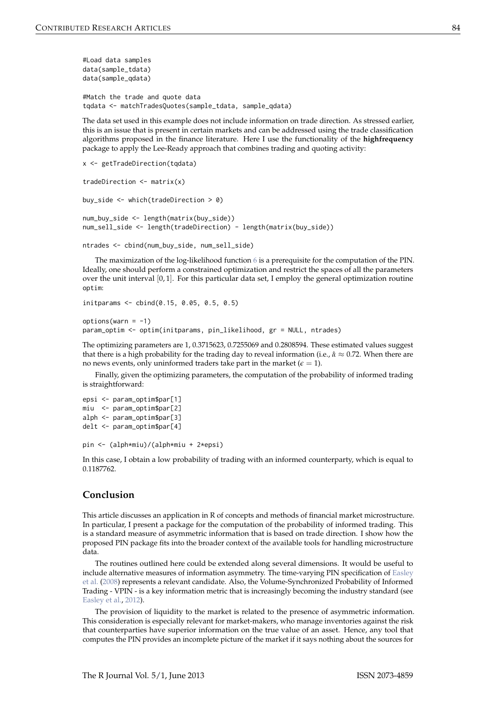```
#Load data samples
data(sample_tdata)
data(sample_qdata)
```
#Match the trade and quote data tqdata <- matchTradesQuotes(sample\_tdata, sample\_qdata)

The data set used in this example does not include information on trade direction. As stressed earlier, this is an issue that is present in certain markets and can be addressed using the trade classification algorithms proposed in the finance literature. Here I use the functionality of the **highfrequency** package to apply the Lee-Ready approach that combines trading and quoting activity:

```
x <- getTradeDirection(tqdata)
```

```
tradeDirection <- matrix(x)
buy_side <- which(tradeDirection > 0)
num_buy_side <- length(matrix(buy_side))
num_sell_side <- length(tradeDirection) - length(matrix(buy_side))
```

```
ntrades <- cbind(num_buy_side, num_sell_side)
```
The maximization of the log-likelihood function [6](#page-3-1) is a prerequisite for the computation of the PIN. Ideally, one should perform a constrained optimization and restrict the spaces of all the parameters over the unit interval [0, 1]. For this particular data set, I employ the general optimization routine optim:

```
initparams <- cbind(0.15, 0.05, 0.5, 0.5)
options(varn = -1)param_optim <- optim(initparams, pin_likelihood, gr = NULL, ntrades)
```
The optimizing parameters are 1, 0.3715623, 0.7255069 and 0.2808594. These estimated values suggest that there is a high probability for the trading day to reveal information (i.e., *α*ˆ ≈ 0.72. When there are no news events, only uninformed traders take part in the market  $(\epsilon = 1)$ .

Finally, given the optimizing parameters, the computation of the probability of informed trading is straightforward:

```
epsi <- param_optim$par[1]
miu <- param_optim$par[2]
alph <- param_optim$par[3]
delt <- param_optim$par[4]
```

```
pin <- (alph*miu)/(alph*miu + 2*epsi)
```
In this case, I obtain a low probability of trading with an informed counterparty, which is equal to 0.1187762.

## **Conclusion**

This article discusses an application in R of concepts and methods of financial market microstructure. In particular, I present a package for the computation of the probability of informed trading. This is a standard measure of asymmetric information that is based on trade direction. I show how the proposed PIN package fits into the broader context of the available tools for handling microstructure data.

The routines outlined here could be extended along several dimensions. It would be useful to include alternative measures of information asymmetry. The time-varying PIN specification of [Easley](#page-5-17) [et al.](#page-5-17) [\(2008\)](#page-5-17) represents a relevant candidate. Also, the Volume-Synchronized Probability of Informed Trading - VPIN - is a key information metric that is increasingly becoming the industry standard (see [Easley et al.,](#page-5-18) [2012\)](#page-5-18).

The provision of liquidity to the market is related to the presence of asymmetric information. This consideration is especially relevant for market-makers, who manage inventories against the risk that counterparties have superior information on the true value of an asset. Hence, any tool that computes the PIN provides an incomplete picture of the market if it says nothing about the sources for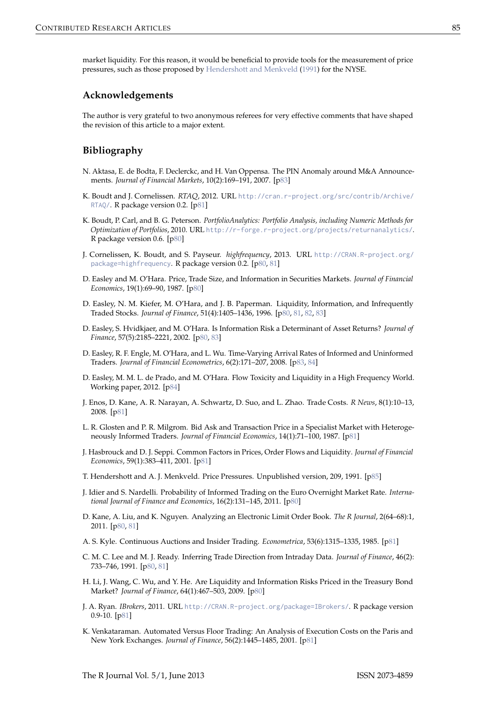<span id="page-5-20"></span>market liquidity. For this reason, it would be beneficial to provide tools for the measurement of price pressures, such as those proposed by [Hendershott and Menkveld](#page-5-19) [\(1991\)](#page-5-19) for the NYSE.

## **Acknowledgements**

The author is very grateful to two anonymous referees for very effective comments that have shaped the revision of this article to a major extent.

## **Bibliography**

- <span id="page-5-16"></span>N. Aktasa, E. de Bodta, F. Declerckc, and H. Van Oppensa. The PIN Anomaly around M&A Announcements. *Journal of Financial Markets*, 10(2):169–191, 2007. [[p83\]](#page-3-2)
- <span id="page-5-10"></span>K. Boudt and J. Cornelissen. *RTAQ*, 2012. URL [http://cran.r-project.org/src/contrib/Archive/](http://cran.r-project.org/src/contrib/Archive/RTAQ/) [RTAQ/](http://cran.r-project.org/src/contrib/Archive/RTAQ/). R package version 0.2. [[p81\]](#page-1-1)
- <span id="page-5-0"></span>K. Boudt, P. Carl, and B. G. Peterson. *PortfolioAnalytics: Portfolio Analysis, including Numeric Methods for Optimization of Portfolios*, 2010. URL <http://r-forge.r-project.org/projects/returnanalytics/>. R package version 0.6. [[p80\]](#page-0-0)
- <span id="page-5-6"></span>J. Cornelissen, K. Boudt, and S. Payseur. *highfrequency*, 2013. URL [http://CRAN.R-project.org/](http://CRAN.R-project.org/package=highfrequency) [package=highfrequency](http://CRAN.R-project.org/package=highfrequency). R package version 0.2. [[p80,](#page-0-0) [81\]](#page-1-1)
- <span id="page-5-3"></span>D. Easley and M. O'Hara. Price, Trade Size, and Information in Securities Markets. *Journal of Financial Economics*, 19(1):69–90, 1987. [[p80\]](#page-0-0)
- <span id="page-5-4"></span>D. Easley, N. M. Kiefer, M. O'Hara, and J. B. Paperman. Liquidity, Information, and Infrequently Traded Stocks. *Journal of Finance*, 51(4):1405–1436, 1996. [[p80,](#page-0-0) [81,](#page-1-1) [82,](#page-2-0) [83\]](#page-3-2)
- <span id="page-5-2"></span>D. Easley, S. Hvidkjaer, and M. O'Hara. Is Information Risk a Determinant of Asset Returns? *Journal of Finance*, 57(5):2185–2221, 2002. [[p80,](#page-0-0) [83\]](#page-3-2)
- <span id="page-5-17"></span>D. Easley, R. F. Engle, M. O'Hara, and L. Wu. Time-Varying Arrival Rates of Informed and Uninformed Traders. *Journal of Financial Econometrics*, 6(2):171–207, 2008. [[p83,](#page-3-2) [84\]](#page-4-0)
- <span id="page-5-18"></span>D. Easley, M. M. L. de Prado, and M. O'Hara. Flow Toxicity and Liquidity in a High Frequency World. Working paper, 2012. [[p84\]](#page-4-0)
- <span id="page-5-11"></span>J. Enos, D. Kane, A. R. Narayan, A. Schwartz, D. Suo, and L. Zhao. Trade Costs. *R News*, 8(1):10–13, 2008. [[p81\]](#page-1-1)
- <span id="page-5-14"></span>L. R. Glosten and P. R. Milgrom. Bid Ask and Transaction Price in a Specialist Market with Heterogeneously Informed Traders. *Journal of Financial Economics*, 14(1):71–100, 1987. [[p81\]](#page-1-1)
- <span id="page-5-12"></span>J. Hasbrouck and D. J. Seppi. Common Factors in Prices, Order Flows and Liquidity. *Journal of Financial Economics*, 59(1):383–411, 2001. [[p81\]](#page-1-1)
- <span id="page-5-19"></span>T. Hendershott and A. J. Menkveld. Price Pressures. Unpublished version, 209, 1991. [[p85\]](#page-5-20)
- <span id="page-5-8"></span>J. Idier and S. Nardelli. Probability of Informed Trading on the Euro Overnight Market Rate. *International Journal of Finance and Economics*, 16(2):131–145, 2011. [[p80\]](#page-0-0)
- <span id="page-5-1"></span>D. Kane, A. Liu, and K. Nguyen. Analyzing an Electronic Limit Order Book. *The R Journal*, 2(64–68):1, 2011. [[p80,](#page-0-0) [81\]](#page-1-1)
- <span id="page-5-15"></span>A. S. Kyle. Continuous Auctions and Insider Trading. *Econometrica*, 53(6):1315–1335, 1985. [[p81\]](#page-1-1)
- <span id="page-5-5"></span>C. M. C. Lee and M. J. Ready. Inferring Trade Direction from Intraday Data. *Journal of Finance*, 46(2): 733–746, 1991. [[p80,](#page-0-0) [81\]](#page-1-1)
- <span id="page-5-7"></span>H. Li, J. Wang, C. Wu, and Y. He. Are Liquidity and Information Risks Priced in the Treasury Bond Market? *Journal of Finance*, 64(1):467–503, 2009. [[p80\]](#page-0-0)
- <span id="page-5-9"></span>J. A. Ryan. *IBrokers*, 2011. URL <http://CRAN.R-project.org/package=IBrokers/>. R package version 0.9-10. [[p81\]](#page-1-1)
- <span id="page-5-13"></span>K. Venkataraman. Automated Versus Floor Trading: An Analysis of Execution Costs on the Paris and New York Exchanges. *Journal of Finance*, 56(2):1445–1485, 2001. [[p81\]](#page-1-1)